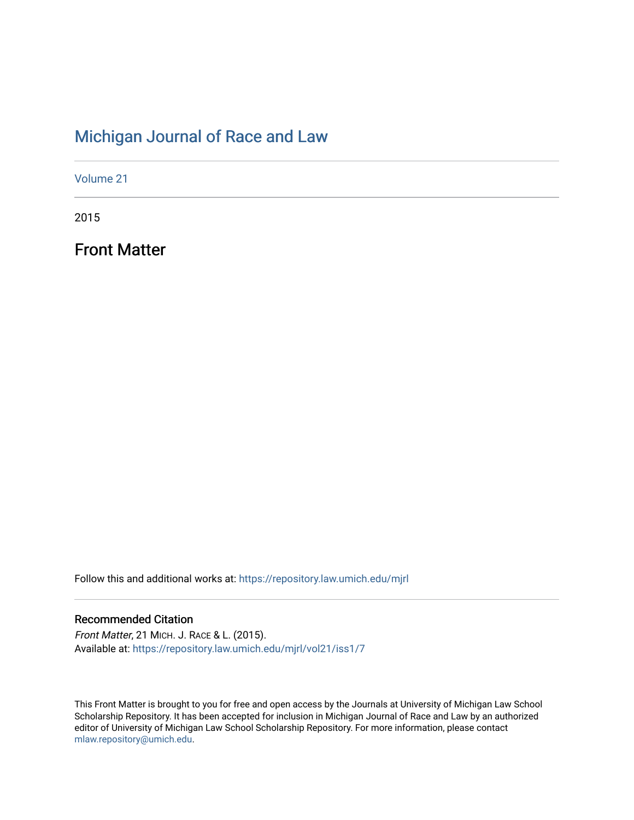# [Michigan Journal of Race and Law](https://repository.law.umich.edu/mjrl)

[Volume 21](https://repository.law.umich.edu/mjrl/vol21)

2015

Front Matter

Follow this and additional works at: [https://repository.law.umich.edu/mjrl](https://repository.law.umich.edu/mjrl?utm_source=repository.law.umich.edu%2Fmjrl%2Fvol21%2Fiss1%2F7&utm_medium=PDF&utm_campaign=PDFCoverPages) 

## Recommended Citation

Front Matter, 21 MICH. J. RACE & L. (2015). Available at: [https://repository.law.umich.edu/mjrl/vol21/iss1/7](https://repository.law.umich.edu/mjrl/vol21/iss1/7?utm_source=repository.law.umich.edu%2Fmjrl%2Fvol21%2Fiss1%2F7&utm_medium=PDF&utm_campaign=PDFCoverPages) 

This Front Matter is brought to you for free and open access by the Journals at University of Michigan Law School Scholarship Repository. It has been accepted for inclusion in Michigan Journal of Race and Law by an authorized editor of University of Michigan Law School Scholarship Repository. For more information, please contact [mlaw.repository@umich.edu.](mailto:mlaw.repository@umich.edu)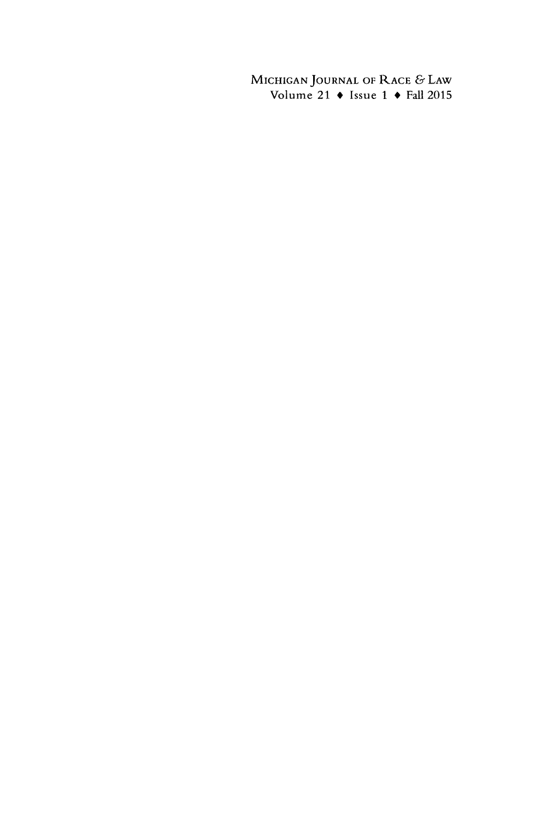**MICHIGAN JOURNAL** OF **RACE &** LAw Volume **21 \*** Issue **1 \*** Fall **2015**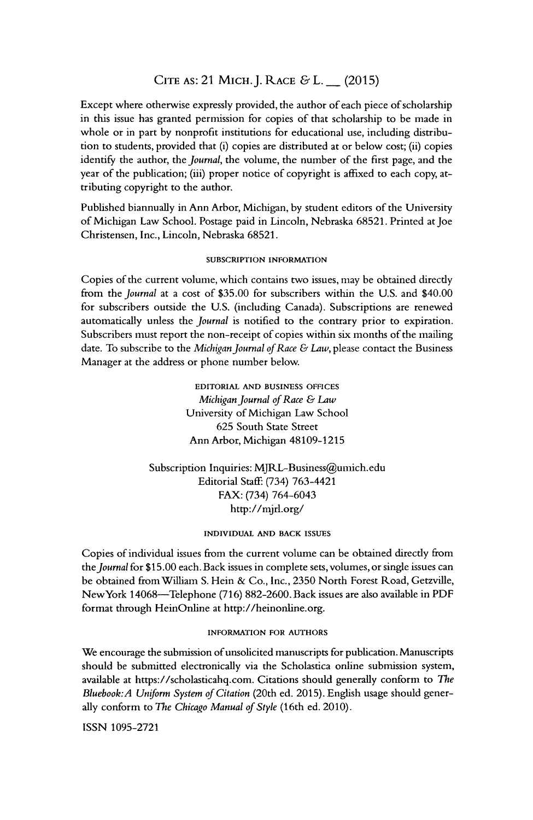### **CITE AS:** 21 MICH.J. **RACE &** L. **- (2015)**

Except where otherwise expressly provided, the author of each piece of scholarship in this issue has granted permission for copies of that scholarship to be made in whole or in part **by** nonprofit institutions for educational use, including distribution to students, provided that (i) copies are distributed at or below cost; (ii) copies identify the author, the *journal,* the volume, the number of the first page, and the year of the publication; (iii) proper notice of copyright is affixed to each copy, attributing copyright to the author.

Published biannually in Ann Arbor, Michigan, **by** student editors of the University of Michigan Law School. Postage paid in Lincoln, Nebraska **68521.** Printed at Joe Christensen, Inc., Lincoln, Nebraska **68521.**

#### **SUBSCRIPTION INFORMATION**

Copies of the current volume, which contains two issues, may be obtained directly from the *journal* at a cost of **\$35.00** for subscribers within the **U.S.** and \$40.00 for subscribers outside the **U.S.** (including Canada). Subscriptions are renewed automatically unless the *Journal* is notified to the contrary prior to expiration. Subscribers must report the non-receipt of copies within six months of the mailing date. To subscribe to the *Michigan Journal of Race & Law*, please contact the Business Manager at the address or phone number below.

> **EDITORIAL AND BUSINESS OFFICES** *Michigan journal of Race & Law* University of Michigan Law School **625** South State Street Ann Arbor, Michigan **48109-1215**

Subscription Inquiries: MJRL-Business@umich.edu Editorial Staff: (734) 763-4421 FAX: (734) 764-6043 http://nijrl.org/

#### **INDIVIDUAL AND BACK ISSUES**

Copies of individual issues from the current volume can be obtained directly from the *Journal* for \$15.00 each. Back issues in complete sets, volumes, or single issues can be obtained from William **S.** Hein **&** Co., Inc., **2350** North Forest Road, Getzville, NewYork 14068-Telephone **(716) 882-2600.** Back issues are also available in PDF format through HeinOnline at http://heinonline.org.

#### **INFORMATION FOR AUTHORS**

We encourage the submission of unsolicited manuscripts for publication. Manuscripts should be submitted electronically via the Scholastica online submission system, available at https://scholasticahq.com. Citations should generally conform to *The Bluebook:A Uniform System of Citation* (20th ed. **2015).** English usage should generally conform to *The Chicago Manual of Style* (16th ed. 2010).

**ISSN 1095-2721**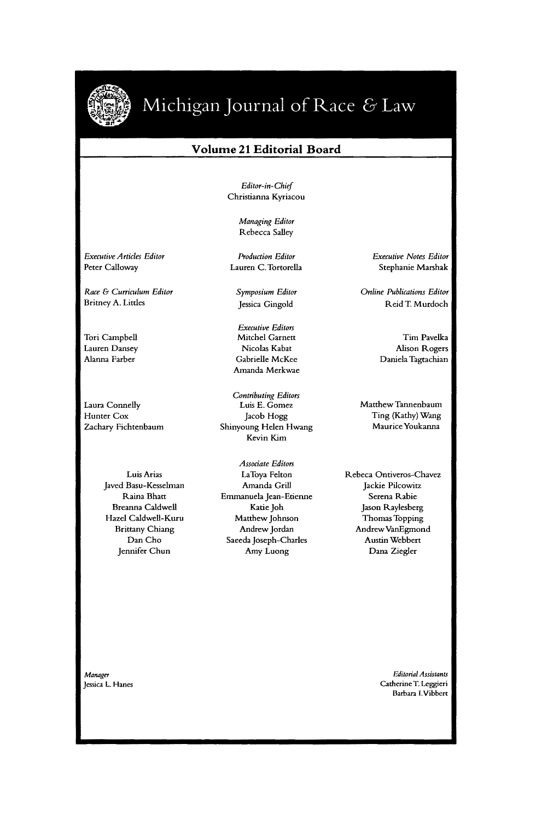

# Michigan Journal of Race & Law

#### **Volume 21 Editorial Board**

Editor-in-Chief Christianna Kyriacou

> *Managing Editor* Rebecca Salley

Executive Articles Editor Peter Calloway

Race **&** Curriculum Editor Britney **A.** Litdes

Tori Campbell Lauren Dansey Alanna Farber

Laura Connelly Hunter Cox Zachary Fichtenbaum

> Luis Arias Javed Basu-Kesselman Raina Bhatt Breanma Caldwell Hazel Caldwell-Kuru Brittany Chiang Dan Cho Jennifer Chun

Production Editor Lauren C.Tortorella

*Symposium Editor* Jessica Gingold

Executive Editors Mitchel Garnett Nicolas Kabat Gabrielle McKee Armanda Merkwae

Contributing Editors Luis **E.** Gomez Jacob Hogg Shinyoung Helen Hwang Kevin Kim

*Associate* Editors LaToya Felton Anmanda Grill Emmanuela Jean-Etienne Katie Joh Matthew Johnson Andrew Jordan Saeeda Joseph-Charles Amy Luong

Executive Notes Editor Stephanie Marshak

*Online Publications* Editor Reid T. Murdoch

> Tim Pavelka Alison Rogers Daniela Tagtachian

Matthew Tannenbaum Ting (Kathy) Wang MauriceYoukanna

Rebeca Ontiveros-Chavez Jackie Pilcowitz Serena Rabie Jason Raylesberg Thomas Topping Andrew VanEgmond Austin Webbert Dana Ziegler

*Manager* Jessica L. Hanes

*Editorial Assistants* Catherine T. Leggieri Barbara LVibbert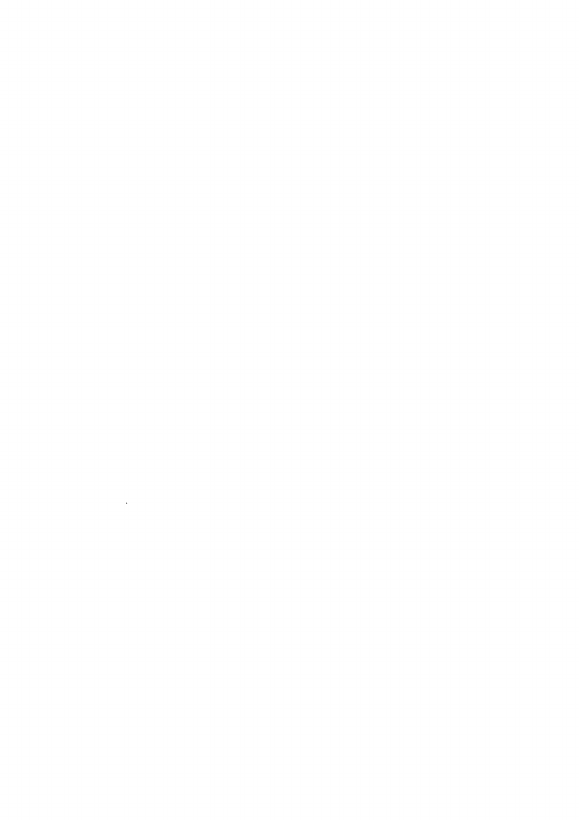$\label{eq:2} \mathcal{L}(\mathcal{L}^{\text{max}}_{\mathcal{L}}(\mathcal{L}^{\text{max}}_{\mathcal{L}})) \leq \mathcal{L}(\mathcal{L}^{\text{max}}_{\mathcal{L}}(\mathcal{L}^{\text{max}}_{\mathcal{L}}))$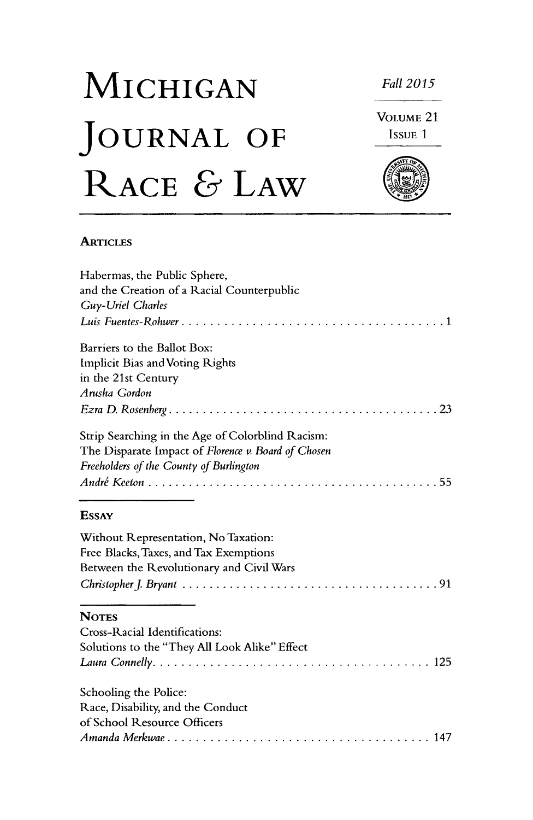# **MICHIGAN** *Fall <sup>2015</sup>* **JOURNAL OF ISSUE 1 RACE & LAW**

**VOLUME** 21



## **ARTICLES**

| Habermas, the Public Sphere,<br>and the Creation of a Racial Counterpublic<br>Guy-Uriel Charles |
|-------------------------------------------------------------------------------------------------|
|                                                                                                 |
| Barriers to the Ballot Box:                                                                     |
| <b>Implicit Bias and Voting Rights</b>                                                          |
| in the 21st Century                                                                             |
| Arusha Gordon                                                                                   |
|                                                                                                 |
| Strip Searching in the Age of Colorblind Racism:                                                |
| The Disparate Impact of Florence v. Board of Chosen                                             |
| Freeholders of the County of Burlington                                                         |
|                                                                                                 |
|                                                                                                 |
|                                                                                                 |
|                                                                                                 |
| <b>ESSAY</b><br>Without Representation, No Taxation:                                            |
| Free Blacks, Taxes, and Tax Exemptions                                                          |
| Between the Revolutionary and Civil Wars                                                        |
|                                                                                                 |
| <b>NOTES</b>                                                                                    |
| Cross-Racial Identifications:                                                                   |
| Solutions to the "They All Look Alike" Effect                                                   |
|                                                                                                 |
| Schooling the Police:                                                                           |
| Race, Disability, and the Conduct<br>of School Resource Officers                                |